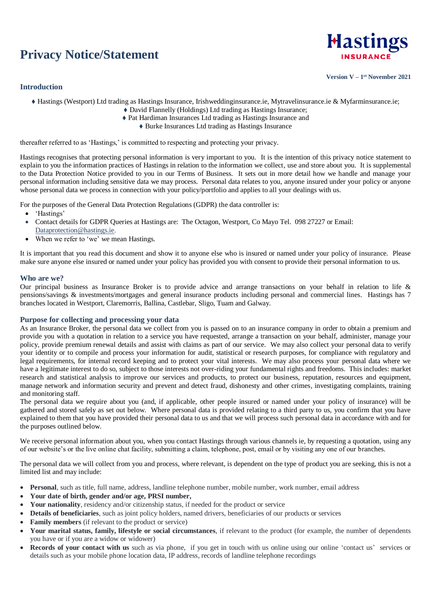# **Privacy Notice/Statement**

# **Introduction**



**Version V – 1 st November 2021**

- Hastings (Westport) Ltd trading as Hastings Insurance, Irishweddinginsurance.ie, Mytravelinsurance.ie & Myfarminsurance.ie;
	- David Flannelly (Holdings) Ltd trading as Hastings Insurance;
	- Pat Hardiman Insurances Ltd trading as Hastings Insurance and
		- Burke Insurances Ltd trading as Hastings Insurance

thereafter referred to as 'Hastings,' is committed to respecting and protecting your privacy.

Hastings recognises that protecting personal information is very important to you. It is the intention of this privacy notice statement to explain to you the information practices of Hastings in relation to the information we collect, use and store about you. It is supplemental to the Data Protection Notice provided to you in our Terms of Business. It sets out in more detail how we handle and manage your personal information including sensitive data we may process. Personal data relates to you, anyone insured under your policy or anyone whose personal data we process in connection with your policy/portfolio and applies to all your dealings with us.

For the purposes of the General Data Protection Regulations (GDPR) the data controller is:

- 'Hastings'
- Contact details for GDPR Queries at Hastings are: The Octagon, Westport, Co Mayo Tel. 098 27227 or Email: [Dataprotection@hastings.ie.](mailto:Dataprotection@hastings.ie)
- When we refer to 'we' we mean Hastings.

It is important that you read this document and show it to anyone else who is insured or named under your policy of insurance. Please make sure anyone else insured or named under your policy has provided you with consent to provide their personal information to us.

### **Who are we?**

Our principal business as Insurance Broker is to provide advice and arrange transactions on your behalf in relation to life & pensions/savings & investments/mortgages and general insurance products including personal and commercial lines. Hastings has 7 branches located in Westport, Claremorris, Ballina, Castlebar, Sligo, Tuam and Galway.

### **Purpose for collecting and processing your data**

As an Insurance Broker, the personal data we collect from you is passed on to an insurance company in order to obtain a premium and provide you with a quotation in relation to a service you have requested, arrange a transaction on your behalf, administer, manage your policy, provide premium renewal details and assist with claims as part of our service. We may also collect your personal data to verify your identity or to compile and process your information for audit, statistical or research purposes, for compliance with regulatory and legal requirements, for internal record keeping and to protect your vital interests. We may also process your personal data where we have a legitimate interest to do so, subject to those interests not over-riding your fundamental rights and freedoms. This includes: market research and statistical analysis to improve our services and products, to protect our business, reputation, resources and equipment, manage network and information security and prevent and detect fraud, dishonesty and other crimes, investigating complaints, training and monitoring staff.

The personal data we require about you (and, if applicable, other people insured or named under your policy of insurance) will be gathered and stored safely as set out below. Where personal data is provided relating to a third party to us, you confirm that you have explained to them that you have provided their personal data to us and that we will process such personal data in accordance with and for the purposes outlined below.

We receive personal information about you, when you contact Hastings through various channels ie, by requesting a quotation, using any of our website's or the live online chat facility, submitting a claim, telephone, post, email or by visiting any one of our branches.

The personal data we will collect from you and process, where relevant, is dependent on the type of product you are seeking, this is not a limited list and may include:

- **Personal**, such as title, full name, address, landline telephone number, mobile number, work number, email address
- **Your date of birth, gender and/or age, PRSI number,**
- Your nationality, residency and/or citizenship status, if needed for the product or service
- **Details of beneficiaries**, such as joint policy holders, named drivers, beneficiaries of our products or services
- **Family members** (if relevant to the product or service)
- **Your marital status, family, lifestyle or social circumstances**, if relevant to the product (for example, the number of dependents you have or if you are a widow or widower)
- **Records of your contact with us** such as via phone, if you get in touch with us online using our online 'contact us' services or details such as your mobile phone location data, IP address, records of landline telephone recordings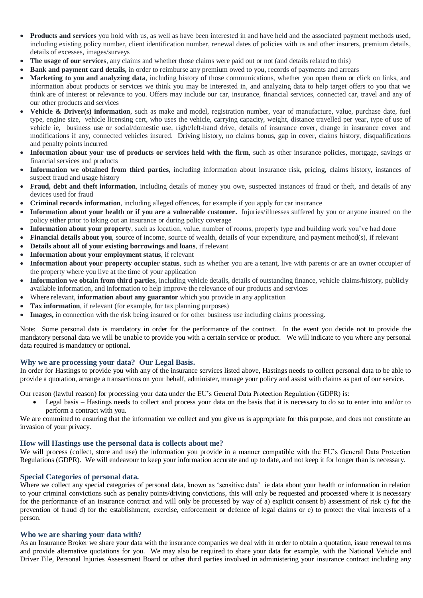- **Products and services** you hold with us, as well as have been interested in and have held and the associated payment methods used, including existing policy number, client identification number, renewal dates of policies with us and other insurers, premium details, details of excesses, images/surveys
- **The usage of our services**, any claims and whether those claims were paid out or not (and details related to this)
- **Bank and payment card details,** in order to reimburse any premium owed to you, records of payments and arrears
- **Marketing to you and analyzing data**, including history of those communications, whether you open them or click on links, and information about products or services we think you may be interested in, and analyzing data to help target offers to you that we think are of interest or relevance to you. Offers may include our car, insurance, financial services, connected car, travel and any of our other products and services
- **Vehicle & Driver(s) information**, such as make and model, registration number, year of manufacture, value, purchase date, fuel type, engine size, vehicle licensing cert, who uses the vehicle, carrying capacity, weight, distance travelled per year, type of use of vehicle ie, business use or social/domestic use, right/left-hand drive, details of insurance cover, change in insurance cover and modifications if any, connected vehicles insured. Driving history, no claims bonus, gap in cover, claims history, disqualifications and penalty points incurred
- **Information about your use of products or services held with the firm**, such as other insurance policies, mortgage, savings or financial services and products
- **Information we obtained from third parties**, including information about insurance risk, pricing, claims history, instances of suspect fraud and usage history
- **Fraud, debt and theft information**, including details of money you owe, suspected instances of fraud or theft, and details of any devices used for fraud
- **Criminal records information**, including alleged offences, for example if you apply for car insurance
- **Information about your health or if you are a vulnerable customer.** Injuries/illnesses suffered by you or anyone insured on the policy either prior to taking out an insurance or during policy coverage
- **Information about your property**, such as location, value, number of rooms, property type and building work you've had done
- **Financial details about you**, source of income, source of wealth, details of your expenditure, and payment method(s), if relevant
- **Details about all of your existing borrowings and loans**, if relevant
- **Information about your employment status**, if relevant
- **Information about your property occupier status**, such as whether you are a tenant, live with parents or are an owner occupier of the property where you live at the time of your application
- **Information we obtain from third parties**, including vehicle details, details of outstanding finance, vehicle claims/history, publicly available information, and information to help improve the relevance of our products and services
- Where relevant, **information about any guarantor** which you provide in any application
- **Tax information**, if relevant (for example, for tax planning purposes)
- **Images,** in connection with the risk being insured or for other business use including claims processing.

Note: Some personal data is mandatory in order for the performance of the contract. In the event you decide not to provide the mandatory personal data we will be unable to provide you with a certain service or product. We will indicate to you where any personal data required is mandatory or optional.

### **Why we are processing your data? Our Legal Basis.**

In order for Hastings to provide you with any of the insurance services listed above, Hastings needs to collect personal data to be able to provide a quotation, arrange a transactions on your behalf, administer, manage your policy and assist with claims as part of our service.

Our reason (lawful reason) for processing your data under the EU's General Data Protection Regulation (GDPR) is:

 Legal basis – Hastings needs to collect and process your data on the basis that it is necessary to do so to enter into and/or to perform a contract with you.

We are committed to ensuring that the information we collect and you give us is appropriate for this purpose, and does not constitute an invasion of your privacy.

### **How will Hastings use the personal data is collects about me?**

We will process (collect, store and use) the information you provide in a manner compatible with the EU's General Data Protection Regulations (GDPR). We will endeavour to keep your information accurate and up to date, and not keep it for longer than is necessary.

### **Special Categories of personal data.**

Where we collect any special categories of personal data, known as 'sensitive data' ie data about your health or information in relation to your criminal convictions such as penalty points/driving convictions, this will only be requested and processed where it is necessary for the performance of an insurance contract and will only be processed by way of a) explicit consent b) assessment of risk c) for the prevention of fraud d) for the establishment, exercise, enforcement or defence of legal claims or e) to protect the vital interests of a person.

### **Who we are sharing your data with?**

As an Insurance Broker we share your data with the insurance companies we deal with in order to obtain a quotation, issue renewal terms and provide alternative quotations for you. We may also be required to share your data for example, with the National Vehicle and Driver File, Personal Injuries Assessment Board or other third parties involved in administering your insurance contract including any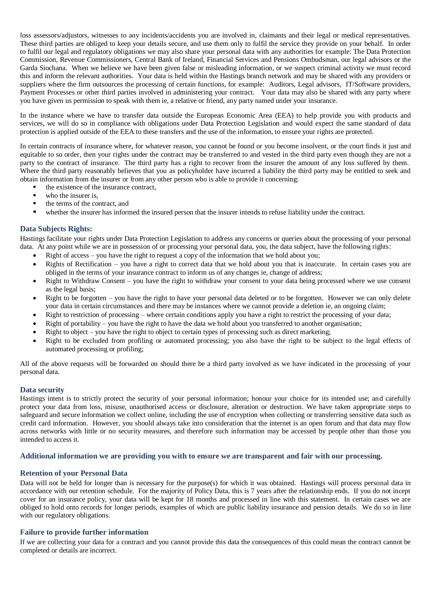loss assessors/adjustors, witnesses to any incidents/accidents you are involved in, claimants and their legal or medical representatives. These third parties are obliged to keep your details secure, and use them only to fulfil the service they provide on your behalf. In order to fulfil our legal and regulatory obligations we may also share your personal data with any authorities for example: The Data Protection Commission, Revenue Commissioners, Central Bank of Ireland, Financial Services and Pensions Ombudsman, our legal advisors or the Garda Siochana. When we believe we have been given false or misleading information, or we suspect criminal activity we must record this and inform the relevant authorities. Your data is held within the Hastings branch network and may be shared with any providers or suppliers where the firm outsources the processing of certain functions, for example: Auditors, Legal advisors, IT/Software providers, Payment Processes or other third parties involved in administering your contract. Your data may also be shared with any party where you have given us permission to speak with them ie, a relative or friend, any party named under your insurance.

In the instance where we have to transfer data outside the European Economic Area (EEA) to help provide you with products and services, we will do so in compliance with obligations under Data Protection Legislation and would expect the same standard of data protection is applied outside of the EEA to these transfers and the use of the information, to ensure your rights are protected.

In certain contracts of insurance where, for whatever reason, you cannot be found or you become insolvent, or the court finds it just and equitable to so order, then your rights under the contract may be transferred to and vested in the third party even though they are not a party to the contract of insurance. The third party has a right to recover from the insurer the amount of any loss suffered by them. Where the third party reasonably believes that you as policyholder have incurred a liability the third party may be entitled to seek and obtain information from the insurer or from any other person who is able to provide it concerning:

- the existence of the insurance contract,
- who the insurer is,
- the terms of the contract, and
- whether the insurer has informed the insured person that the insurer intends to refuse liability under the contract.

## **Data Subjects Rights:**

Hastings facilitate your rights under Data Protection Legislation to address any concerns or queries about the processing of your personal data. At any point while we are in possession of or processing your personal data, you, the data subject, have the following rights:

- Right of access you have the right to request a copy of the information that we hold about you;
- Rights of Rectification you have a right to correct data that we hold about you that is inaccurate. In certain cases you are obliged in the terms of your insurance contract to inform us of any changes ie, change of address;
- Right to Withdraw Consent you have the right to withdraw your consent to your data being processed where we use consent as the legal basis;
- Right to be forgotten you have the right to have your personal data deleted or to be forgotten. However we can only delete your data in certain circumstances and there may be instances where we cannot provide a deletion ie, an ongoing claim;
- Right to restriction of processing where certain conditions apply you have a right to restrict the processing of your data;
- Right of portability you have the right to have the data we hold about you transferred to another organisation;
- Right to object you have the right to object to certain types of processing such as direct marketing;
- Right to be excluded from profiling or automated processing; you also have the right to be subject to the legal effects of automated processing or profiling;

All of the above requests will be forwarded on should there be a third party involved as we have indicated in the processing of your personal data.

### **Data security**

Hastings intent is to strictly protect the security of your personal information; honour your choice for its intended use; and carefully protect your data from loss, misuse, unauthorised access or disclosure, alteration or destruction. We have taken appropriate steps to safeguard and secure information we collect online, including the use of encryption when collecting or transferring sensitive data such as credit card information. However, you should always take into consideration that the internet is an open forum and that data may flow across networks with little or no security measures, and therefore such information may be accessed by people other than those you intended to access it.

#### **Additional information we are providing you with to ensure we are transparent and fair with our processing.**

### **Retention of your Personal Data**

Data will not be held for longer than is necessary for the purpose(s) for which it was obtained. Hastings will process personal data in accordance with our retention schedule. For the majority of Policy Data, this is 7 years after the relationship ends. If you do not incept cover for an insurance policy, your data will be kept for 18 months and processed in line with this statement. In certain cases we are obliged to hold onto records for longer periods, examples of which are public liability insurance and pension details. We do so in line with our regulatory obligations.

### **Failure to provide further information**

If we are collecting your data for a contract and you cannot provide this data the consequences of this could mean the contract cannot be completed or details are incorrect.